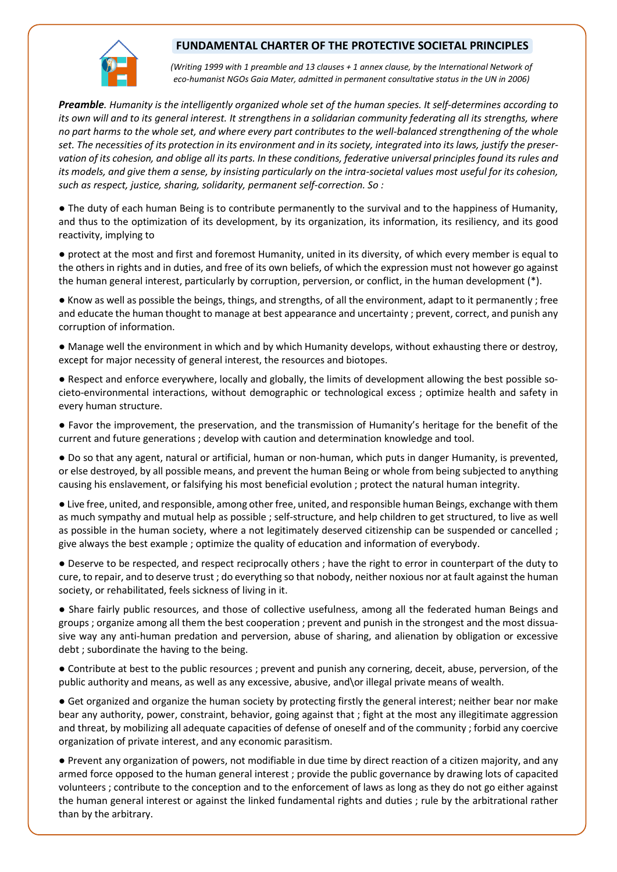## **FUNDAMENTAL CHARTER OF THE PROTECTIVE SOCIETAL PRINCIPLES**



*(Writing 1999 with 1 preamble and 13 clauses + 1 annex clause, by the International Network of eco-humanist NGOs Gaia Mater, admitted in permanent consultative status in the UN in 2006)*

*Preamble. Humanity is the intelligently organized whole set of the human species. It self-determines according to its own will and to its general interest. It strengthens in a solidarian community federating all its strengths, where no part harms to the whole set, and where every part contributes to the well-balanced strengthening of the whole* set. The necessities of its protection in its environment and in its society, integrated into its laws, justify the preser*vation of its cohesion, and oblige all its parts. In these conditions, federative universal principles found itsrules and its models, and give them a sense, by insisting particularly on the intra-societal values most useful for its cohesion, such as respect, justice, sharing, solidarity, permanent self-correction. So :*

● The duty of each human Being is to contribute permanently to the survival and to the happiness of Humanity, and thus to the optimization of its development, by its organization, its information, its resiliency, and its good reactivity, implying to

● protect at the most and first and foremost Humanity, united in its diversity, of which every member is equal to the others in rights and in duties, and free of its own beliefs, of which the expression must not however go against the human general interest, particularly by corruption, perversion, or conflict, in the human development (\*).

● Know as well as possible the beings, things, and strengths, of all the environment, adapt to it permanently ; free and educate the human thought to manage at best appearance and uncertainty ; prevent, correct, and punish any corruption of information.

● Manage well the environment in which and by which Humanity develops, without exhausting there or destroy, except for major necessity of general interest, the resources and biotopes.

● Respect and enforce everywhere, locally and globally, the limits of development allowing the best possible societo-environmental interactions, without demographic or technological excess ; optimize health and safety in every human structure.

● Favor the improvement, the preservation, and the transmission of Humanity's heritage for the benefit of the current and future generations ; develop with caution and determination knowledge and tool.

● Do so that any agent, natural or artificial, human or non-human, which puts in danger Humanity, is prevented, or else destroyed, by all possible means, and prevent the human Being or whole from being subjected to anything causing his enslavement, or falsifying his most beneficial evolution ; protect the natural human integrity.

● Live free, united, and responsible, among other free, united, and responsible human Beings, exchange with them as much sympathy and mutual help as possible ; self-structure, and help children to get structured, to live as well as possible in the human society, where a not legitimately deserved citizenship can be suspended or cancelled ; give always the best example ; optimize the quality of education and information of everybody.

● Deserve to be respected, and respect reciprocally others ; have the right to error in counterpart of the duty to cure, to repair, and to deserve trust ; do everything so that nobody, neither noxious nor at fault against the human society, or rehabilitated, feels sickness of living in it.

● Share fairly public resources, and those of collective usefulness, among all the federated human Beings and groups ; organize among all them the best cooperation ; prevent and punish in the strongest and the most dissuasive way any anti-human predation and perversion, abuse of sharing, and alienation by obligation or excessive debt ; subordinate the having to the being.

● Contribute at best to the public resources ; prevent and punish any cornering, deceit, abuse, perversion, of the public authority and means, as well as any excessive, abusive, and\or illegal private means of wealth.

● Get organized and organize the human society by protecting firstly the general interest; neither bear nor make bear any authority, power, constraint, behavior, going against that ; fight at the most any illegitimate aggression and threat, by mobilizing all adequate capacities of defense of oneself and of the community ; forbid any coercive organization of private interest, and any economic parasitism.

● Prevent any organization of powers, not modifiable in due time by direct reaction of a citizen majority, and any armed force opposed to the human general interest ; provide the public governance by drawing lots of capacited volunteers ; contribute to the conception and to the enforcement of laws as long as they do not go either against the human general interest or against the linked fundamental rights and duties ; rule by the arbitrational rather than by the arbitrary.